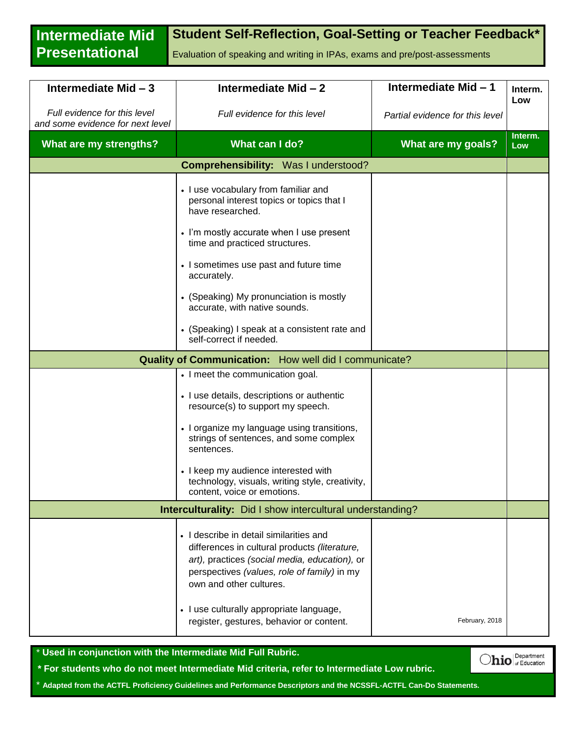**Intermediate Mid Presentational Student Self-Reflection, Goal-Setting or Teacher Feedback\*** Evaluation of speaking and writing in IPAs, exams and pre/post-assessments

| Intermediate Mid - 3                                             | Intermediate Mid - 2                                                                                                                                                                                                | Intermediate Mid-1              | Interm.        |
|------------------------------------------------------------------|---------------------------------------------------------------------------------------------------------------------------------------------------------------------------------------------------------------------|---------------------------------|----------------|
| Full evidence for this level<br>and some evidence for next level | Full evidence for this level                                                                                                                                                                                        | Partial evidence for this level | Low            |
| What are my strengths?                                           | What can I do?                                                                                                                                                                                                      | What are my goals?              | Interm.<br>Low |
| <b>Comprehensibility:</b> Was I understood?                      |                                                                                                                                                                                                                     |                                 |                |
|                                                                  | • I use vocabulary from familiar and<br>personal interest topics or topics that I<br>have researched.                                                                                                               |                                 |                |
|                                                                  | • I'm mostly accurate when I use present<br>time and practiced structures.                                                                                                                                          |                                 |                |
|                                                                  | • I sometimes use past and future time<br>accurately.                                                                                                                                                               |                                 |                |
|                                                                  | • (Speaking) My pronunciation is mostly<br>accurate, with native sounds.                                                                                                                                            |                                 |                |
|                                                                  | • (Speaking) I speak at a consistent rate and<br>self-correct if needed.                                                                                                                                            |                                 |                |
| <b>Quality of Communication:</b> How well did I communicate?     |                                                                                                                                                                                                                     |                                 |                |
|                                                                  | • I meet the communication goal.                                                                                                                                                                                    |                                 |                |
|                                                                  | • I use details, descriptions or authentic<br>resource(s) to support my speech.                                                                                                                                     |                                 |                |
|                                                                  | • I organize my language using transitions,<br>strings of sentences, and some complex<br>sentences.                                                                                                                 |                                 |                |
|                                                                  | • I keep my audience interested with<br>technology, visuals, writing style, creativity,<br>content, voice or emotions.                                                                                              |                                 |                |
| Interculturality: Did I show intercultural understanding?        |                                                                                                                                                                                                                     |                                 |                |
|                                                                  | • I describe in detail similarities and<br>differences in cultural products (literature,<br>art), practices (social media, education), or<br>perspectives (values, role of family) in my<br>own and other cultures. |                                 |                |
|                                                                  | • I use culturally appropriate language,<br>register, gestures, behavior or content.                                                                                                                                | February, 2018                  |                |

\* **Used in conjunction with the Intermediate Mid Full Rubric.**

**\* For students who do not meet Intermediate Mid criteria, refer to Intermediate Low rubric.**

\* **Adapted from the ACTFL Proficiency Guidelines and Performance Descriptors and the NCSSFL-ACTFL Can-Do Statements.** 

 $O$ hio  $|_{\text{of Education}}^{\text{Department}}|$